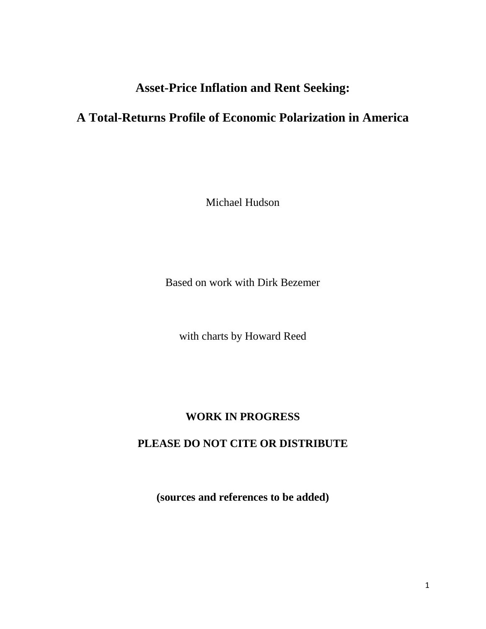# **Asset-Price Inflation and Rent Seeking:**

# **A Total-Returns Profile of Economic Polarization in America**

Michael Hudson

Based on work with Dirk Bezemer

with charts by Howard Reed

# **WORK IN PROGRESS**

# **PLEASE DO NOT CITE OR DISTRIBUTE**

**(sources and references to be added)**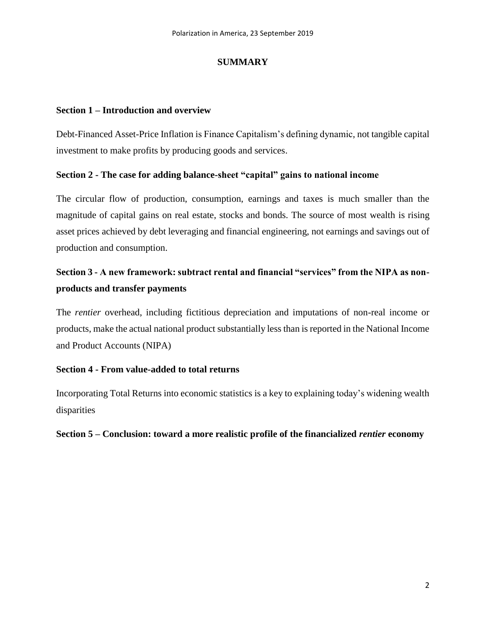## **SUMMARY**

#### **Section 1 – Introduction and overview**

Debt-Financed Asset-Price Inflation is Finance Capitalism's defining dynamic, not tangible capital investment to make profits by producing goods and services.

## **Section 2 - The case for adding balance-sheet "capital" gains to national income**

The circular flow of production, consumption, earnings and taxes is much smaller than the magnitude of capital gains on real estate, stocks and bonds. The source of most wealth is rising asset prices achieved by debt leveraging and financial engineering, not earnings and savings out of production and consumption.

# **Section 3 - A new framework: subtract rental and financial "services" from the NIPA as nonproducts and transfer payments**

The *rentier* overhead, including fictitious depreciation and imputations of non-real income or products, make the actual national product substantially less than is reported in the National Income and Product Accounts (NIPA)

## **Section 4 - From value-added to total returns**

Incorporating Total Returns into economic statistics is a key to explaining today's widening wealth disparities

## **Section 5 – Conclusion: toward a more realistic profile of the financialized** *rentier* **economy**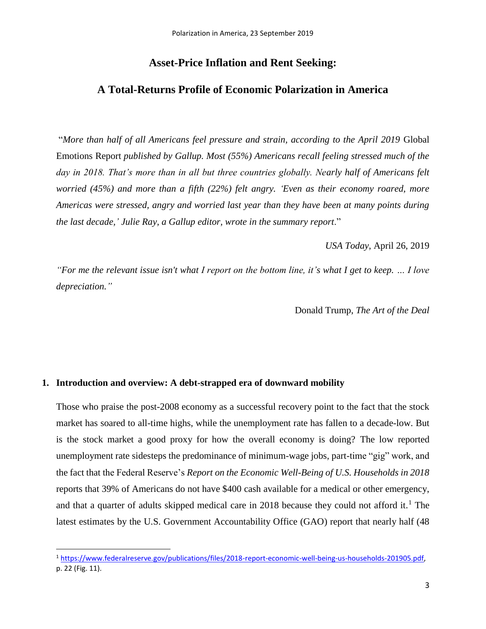# **Asset-Price Inflation and Rent Seeking:**

# **A Total-Returns Profile of Economic Polarization in America**

"*More than half of all Americans feel pressure and strain, according to the April 2019* Global Emotions Report *published by Gallup. Most (55%) Americans recall feeling stressed much of the*  day in 2018. That's more than in all but three countries globally. Nearly half of Americans felt *worried (45%) and more than a fifth (22%) felt angry. 'Even as their economy roared, more Americas were stressed, angry and worried last year than they have been at many points during the last decade,' Julie Ray, a Gallup editor, wrote in the summary report*."

*USA Today*, April 26, 2019

*"For me the relevant issue isn't what I report on the bottom line, it's what I get to keep. … I love depreciation."*

Donald Trump, *The Art of the Deal*

#### **1. Introduction and overview: A debt-strapped era of downward mobility**

 $\overline{a}$ 

Those who praise the post-2008 economy as a successful recovery point to the fact that the stock market has soared to all-time highs, while the unemployment rate has fallen to a decade-low. But is the stock market a good proxy for how the overall economy is doing? The low reported unemployment rate sidesteps the predominance of minimum-wage jobs, part-time "gig" work, and the fact that the Federal Reserve's *Report on the Economic Well-Being of U.S. Households in 2018* reports that 39% of Americans do not have \$400 cash available for a medical or other emergency, and that a quarter of adults skipped medical care in 2018 because they could not afford it.<sup>1</sup> The latest estimates by the U.S. Government Accountability Office (GAO) report that nearly half (48

<sup>1</sup> [https://www.federalreserve.gov/publications/files/2018-report-economic-well-being-us-households-201905.pdf,](https://www.federalreserve.gov/publications/files/2018-report-economic-well-being-us-households-201905.pdf) p. 22 (Fig. 11).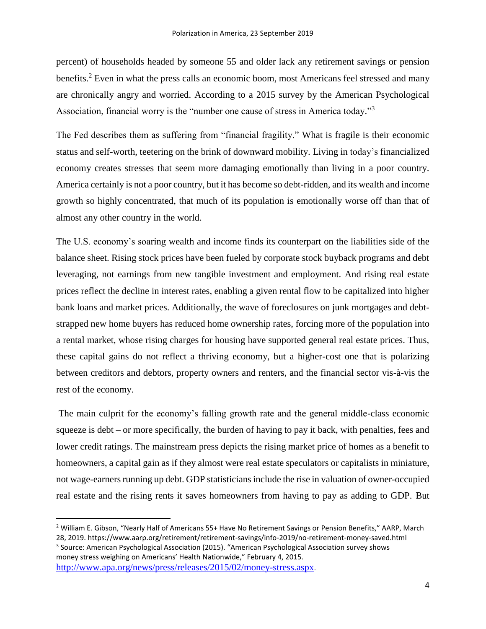percent) of households headed by someone 55 and older lack any retirement savings or pension benefits.<sup>2</sup> Even in what the press calls an economic boom, most Americans feel stressed and many are chronically angry and worried. According to a 2015 survey by the American Psychological Association, financial worry is the "number one cause of stress in America today."<sup>3</sup>

The Fed describes them as suffering from "financial fragility." What is fragile is their economic status and self-worth, teetering on the brink of downward mobility. Living in today's financialized economy creates stresses that seem more damaging emotionally than living in a poor country. America certainly is not a poor country, but it has become so debt-ridden, and its wealth and income growth so highly concentrated, that much of its population is emotionally worse off than that of almost any other country in the world.

The U.S. economy's soaring wealth and income finds its counterpart on the liabilities side of the balance sheet. Rising stock prices have been fueled by corporate stock buyback programs and debt leveraging, not earnings from new tangible investment and employment. And rising real estate prices reflect the decline in interest rates, enabling a given rental flow to be capitalized into higher bank loans and market prices. Additionally, the wave of foreclosures on junk mortgages and debtstrapped new home buyers has reduced home ownership rates, forcing more of the population into a rental market, whose rising charges for housing have supported general real estate prices. Thus, these capital gains do not reflect a thriving economy, but a higher-cost one that is polarizing between creditors and debtors, property owners and renters, and the financial sector vis-à-vis the rest of the economy.

The main culprit for the economy's falling growth rate and the general middle-class economic squeeze is debt – or more specifically, the burden of having to pay it back, with penalties, fees and lower credit ratings. The mainstream press depicts the rising market price of homes as a benefit to homeowners, a capital gain as if they almost were real estate speculators or capitalists in miniature, not wage-earners running up debt. GDP statisticians include the rise in valuation of owner-occupied real estate and the rising rents it saves homeowners from having to pay as adding to GDP. But

 $\overline{a}$ 

<sup>&</sup>lt;sup>2</sup> William E. Gibson, "Nearly Half of Americans 55+ Have No Retirement Savings or Pension Benefits," AARP, March 28, 2019. https://www.aarp.org/retirement/retirement-savings/info-2019/no-retirement-money-saved.html <sup>3</sup> Source: American Psychological Association (2015). "American Psychological Association survey shows money stress weighing on Americans' Health Nationwide," February 4, 2015. <http://www.apa.org/news/press/releases/2015/02/money-stress.aspx>.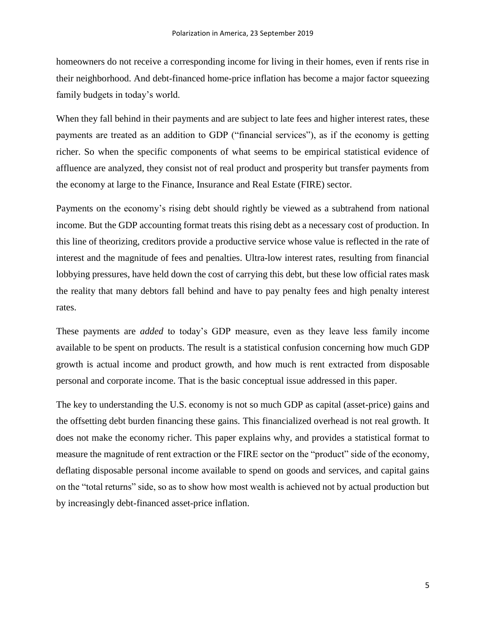homeowners do not receive a corresponding income for living in their homes, even if rents rise in their neighborhood. And debt-financed home-price inflation has become a major factor squeezing family budgets in today's world.

When they fall behind in their payments and are subject to late fees and higher interest rates, these payments are treated as an addition to GDP ("financial services"), as if the economy is getting richer. So when the specific components of what seems to be empirical statistical evidence of affluence are analyzed, they consist not of real product and prosperity but transfer payments from the economy at large to the Finance, Insurance and Real Estate (FIRE) sector.

Payments on the economy's rising debt should rightly be viewed as a subtrahend from national income. But the GDP accounting format treats this rising debt as a necessary cost of production. In this line of theorizing, creditors provide a productive service whose value is reflected in the rate of interest and the magnitude of fees and penalties. Ultra-low interest rates, resulting from financial lobbying pressures, have held down the cost of carrying this debt, but these low official rates mask the reality that many debtors fall behind and have to pay penalty fees and high penalty interest rates.

These payments are *added* to today's GDP measure, even as they leave less family income available to be spent on products. The result is a statistical confusion concerning how much GDP growth is actual income and product growth, and how much is rent extracted from disposable personal and corporate income. That is the basic conceptual issue addressed in this paper.

The key to understanding the U.S. economy is not so much GDP as capital (asset-price) gains and the offsetting debt burden financing these gains. This financialized overhead is not real growth. It does not make the economy richer. This paper explains why, and provides a statistical format to measure the magnitude of rent extraction or the FIRE sector on the "product" side of the economy, deflating disposable personal income available to spend on goods and services, and capital gains on the "total returns" side, so as to show how most wealth is achieved not by actual production but by increasingly debt-financed asset-price inflation.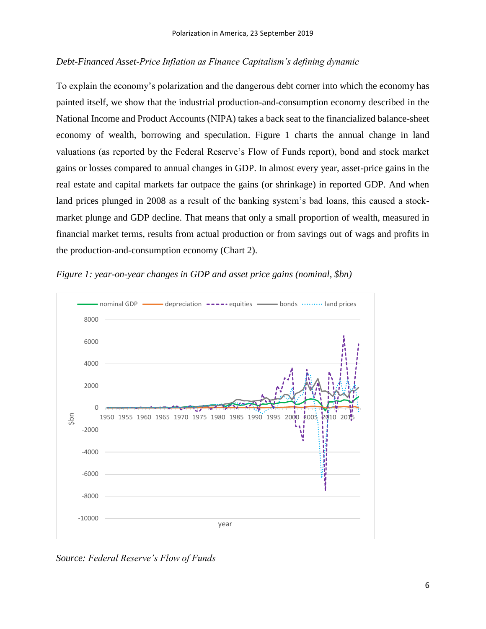# *Debt-Financed Asset-Price Inflation as Finance Capitalism's defining dynamic*

To explain the economy's polarization and the dangerous debt corner into which the economy has painted itself, we show that the industrial production-and-consumption economy described in the National Income and Product Accounts (NIPA) takes a back seat to the financialized balance-sheet economy of wealth, borrowing and speculation. Figure 1 charts the annual change in land valuations (as reported by the Federal Reserve's Flow of Funds report), bond and stock market gains or losses compared to annual changes in GDP. In almost every year, asset-price gains in the real estate and capital markets far outpace the gains (or shrinkage) in reported GDP. And when land prices plunged in 2008 as a result of the banking system's bad loans, this caused a stockmarket plunge and GDP decline. That means that only a small proportion of wealth, measured in financial market terms, results from actual production or from savings out of wags and profits in the production-and-consumption economy (Chart 2).



*Figure 1: year-on-year changes in GDP and asset price gains (nominal, \$bn)*

*Source: Federal Reserve's Flow of Funds*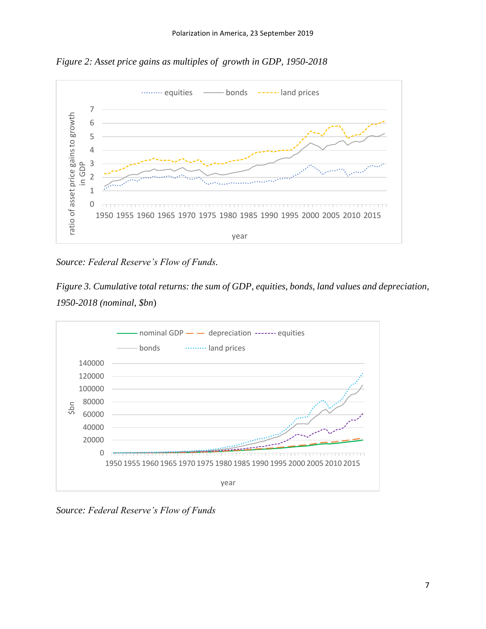*Figure 2: Asset price gains as multiples of growth in GDP, 1950-2018*



*Source: Federal Reserve's Flow of Funds.*

*Figure 3. Cumulative total returns: the sum of GDP, equities, bonds, land values and depreciation, 1950-2018 (nominal, \$bn*)



*Source: Federal Reserve's Flow of Funds*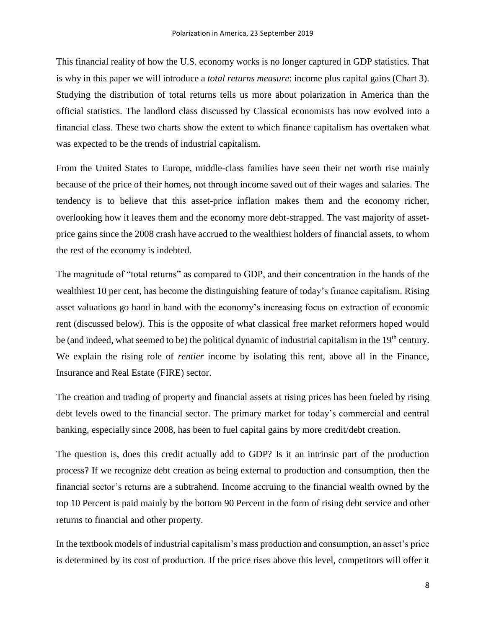This financial reality of how the U.S. economy works is no longer captured in GDP statistics. That is why in this paper we will introduce a *total returns measure*: income plus capital gains (Chart 3). Studying the distribution of total returns tells us more about polarization in America than the official statistics. The landlord class discussed by Classical economists has now evolved into a financial class. These two charts show the extent to which finance capitalism has overtaken what was expected to be the trends of industrial capitalism.

From the United States to Europe, middle-class families have seen their net worth rise mainly because of the price of their homes, not through income saved out of their wages and salaries. The tendency is to believe that this asset-price inflation makes them and the economy richer, overlooking how it leaves them and the economy more debt-strapped. The vast majority of assetprice gains since the 2008 crash have accrued to the wealthiest holders of financial assets, to whom the rest of the economy is indebted.

The magnitude of "total returns" as compared to GDP, and their concentration in the hands of the wealthiest 10 per cent, has become the distinguishing feature of today's finance capitalism. Rising asset valuations go hand in hand with the economy's increasing focus on extraction of economic rent (discussed below). This is the opposite of what classical free market reformers hoped would be (and indeed, what seemed to be) the political dynamic of industrial capitalism in the 19<sup>th</sup> century. We explain the rising role of *rentier* income by isolating this rent, above all in the Finance, Insurance and Real Estate (FIRE) sector.

The creation and trading of property and financial assets at rising prices has been fueled by rising debt levels owed to the financial sector. The primary market for today's commercial and central banking, especially since 2008, has been to fuel capital gains by more credit/debt creation.

The question is, does this credit actually add to GDP? Is it an intrinsic part of the production process? If we recognize debt creation as being external to production and consumption, then the financial sector's returns are a subtrahend. Income accruing to the financial wealth owned by the top 10 Percent is paid mainly by the bottom 90 Percent in the form of rising debt service and other returns to financial and other property.

In the textbook models of industrial capitalism's mass production and consumption, an asset's price is determined by its cost of production. If the price rises above this level, competitors will offer it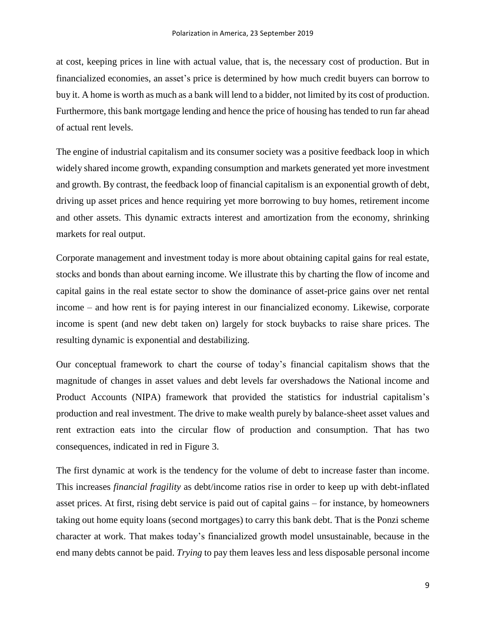at cost, keeping prices in line with actual value, that is, the necessary cost of production. But in financialized economies, an asset's price is determined by how much credit buyers can borrow to buy it. A home is worth as much as a bank will lend to a bidder, not limited by its cost of production. Furthermore, this bank mortgage lending and hence the price of housing has tended to run far ahead of actual rent levels.

The engine of industrial capitalism and its consumer society was a positive feedback loop in which widely shared income growth, expanding consumption and markets generated yet more investment and growth. By contrast, the feedback loop of financial capitalism is an exponential growth of debt, driving up asset prices and hence requiring yet more borrowing to buy homes, retirement income and other assets. This dynamic extracts interest and amortization from the economy, shrinking markets for real output.

Corporate management and investment today is more about obtaining capital gains for real estate, stocks and bonds than about earning income. We illustrate this by charting the flow of income and capital gains in the real estate sector to show the dominance of asset-price gains over net rental income – and how rent is for paying interest in our financialized economy. Likewise, corporate income is spent (and new debt taken on) largely for stock buybacks to raise share prices. The resulting dynamic is exponential and destabilizing.

Our conceptual framework to chart the course of today's financial capitalism shows that the magnitude of changes in asset values and debt levels far overshadows the National income and Product Accounts (NIPA) framework that provided the statistics for industrial capitalism's production and real investment. The drive to make wealth purely by balance-sheet asset values and rent extraction eats into the circular flow of production and consumption. That has two consequences, indicated in red in Figure 3.

The first dynamic at work is the tendency for the volume of debt to increase faster than income. This increases *financial fragility* as debt/income ratios rise in order to keep up with debt-inflated asset prices. At first, rising debt service is paid out of capital gains – for instance, by homeowners taking out home equity loans (second mortgages) to carry this bank debt. That is the Ponzi scheme character at work. That makes today's financialized growth model unsustainable, because in the end many debts cannot be paid. *Trying* to pay them leaves less and less disposable personal income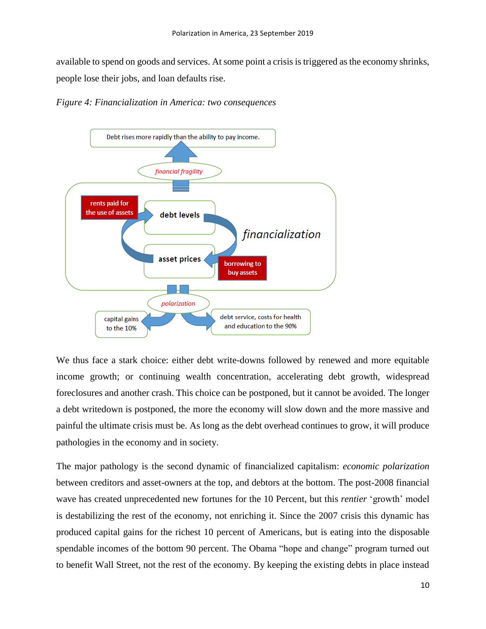available to spend on goods and services. At some point a crisis is triggered asthe economy shrinks, people lose their jobs, and loan defaults rise.





We thus face a stark choice: either debt write-downs followed by renewed and more equitable income growth; or continuing wealth concentration, accelerating debt growth, widespread foreclosures and another crash. This choice can be postponed, but it cannot be avoided. The longer a debt writedown is postponed, the more the economy will slow down and the more massive and painful the ultimate crisis must be. As long as the debt overhead continues to grow, it will produce pathologies in the economy and in society.

The major pathology is the second dynamic of financialized capitalism: *economic polarization* between creditors and asset-owners at the top, and debtors at the bottom. The post-2008 financial wave has created unprecedented new fortunes for the 10 Percent, but this *rentier* 'growth' model is destabilizing the rest of the economy, not enriching it. Since the 2007 crisis this dynamic has produced capital gains for the richest 10 percent of Americans, but is eating into the disposable spendable incomes of the bottom 90 percent. The Obama "hope and change" program turned out to benefit Wall Street, not the rest of the economy. By keeping the existing debts in place instead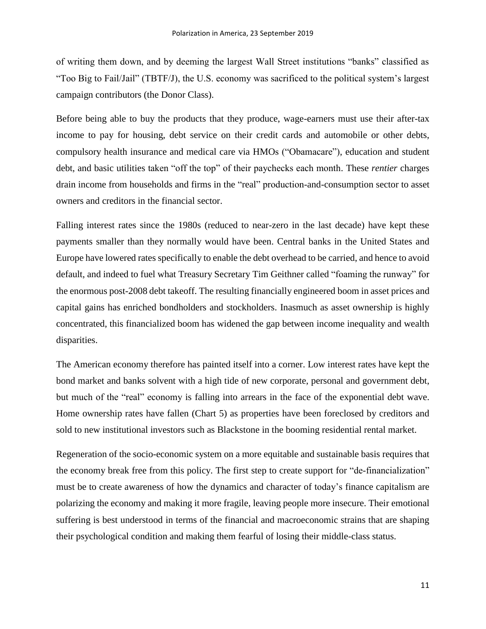of writing them down, and by deeming the largest Wall Street institutions "banks" classified as "Too Big to Fail/Jail" (TBTF/J), the U.S. economy was sacrificed to the political system's largest campaign contributors (the Donor Class).

Before being able to buy the products that they produce, wage-earners must use their after-tax income to pay for housing, debt service on their credit cards and automobile or other debts, compulsory health insurance and medical care via HMOs ("Obamacare"), education and student debt, and basic utilities taken "off the top" of their paychecks each month. These *rentier* charges drain income from households and firms in the "real" production-and-consumption sector to asset owners and creditors in the financial sector.

Falling interest rates since the 1980s (reduced to near-zero in the last decade) have kept these payments smaller than they normally would have been. Central banks in the United States and Europe have lowered rates specifically to enable the debt overhead to be carried, and hence to avoid default, and indeed to fuel what Treasury Secretary Tim Geithner called "foaming the runway" for the enormous post-2008 debt takeoff. The resulting financially engineered boom in asset prices and capital gains has enriched bondholders and stockholders. Inasmuch as asset ownership is highly concentrated, this financialized boom has widened the gap between income inequality and wealth disparities.

The American economy therefore has painted itself into a corner. Low interest rates have kept the bond market and banks solvent with a high tide of new corporate, personal and government debt, but much of the "real" economy is falling into arrears in the face of the exponential debt wave. Home ownership rates have fallen (Chart 5) as properties have been foreclosed by creditors and sold to new institutional investors such as Blackstone in the booming residential rental market.

Regeneration of the socio-economic system on a more equitable and sustainable basis requires that the economy break free from this policy. The first step to create support for "de-financialization" must be to create awareness of how the dynamics and character of today's finance capitalism are polarizing the economy and making it more fragile, leaving people more insecure. Their emotional suffering is best understood in terms of the financial and macroeconomic strains that are shaping their psychological condition and making them fearful of losing their middle-class status.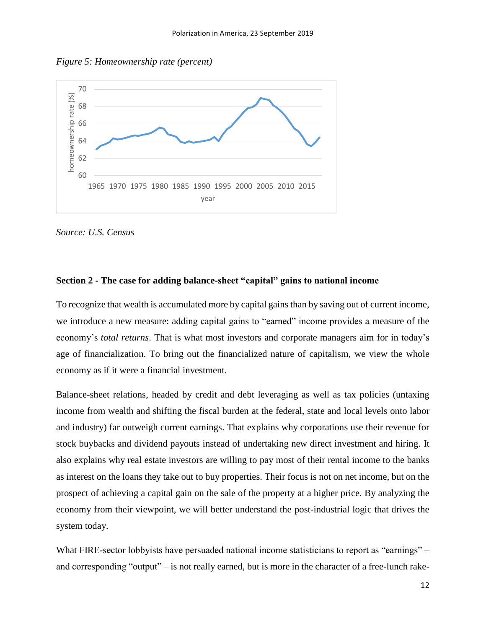*Figure 5: Homeownership rate (percent)*



*Source: U.S. Census*

#### **Section 2 - The case for adding balance-sheet "capital" gains to national income**

To recognize that wealth is accumulated more by capital gains than by saving out of current income, we introduce a new measure: adding capital gains to "earned" income provides a measure of the economy's *total returns*. That is what most investors and corporate managers aim for in today's age of financialization. To bring out the financialized nature of capitalism, we view the whole economy as if it were a financial investment.

Balance-sheet relations, headed by credit and debt leveraging as well as tax policies (untaxing income from wealth and shifting the fiscal burden at the federal, state and local levels onto labor and industry) far outweigh current earnings. That explains why corporations use their revenue for stock buybacks and dividend payouts instead of undertaking new direct investment and hiring. It also explains why real estate investors are willing to pay most of their rental income to the banks as interest on the loans they take out to buy properties. Their focus is not on net income, but on the prospect of achieving a capital gain on the sale of the property at a higher price. By analyzing the economy from their viewpoint, we will better understand the post-industrial logic that drives the system today.

What FIRE-sector lobbyists have persuaded national income statisticians to report as "earnings" – and corresponding "output" – is not really earned, but is more in the character of a free-lunch rake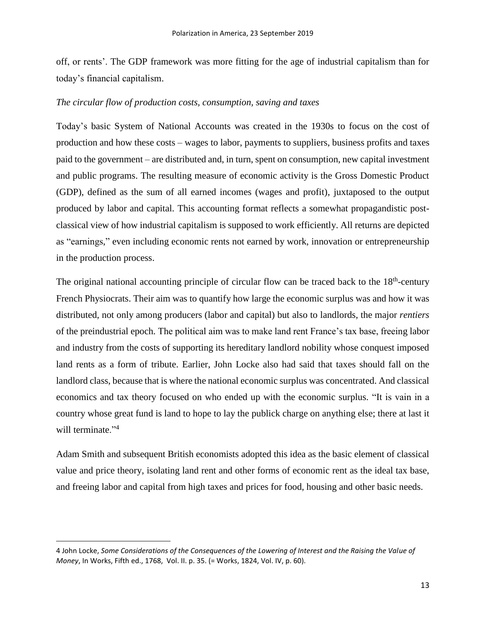off, or rents'. The GDP framework was more fitting for the age of industrial capitalism than for today's financial capitalism.

## *The circular flow of production costs, consumption, saving and taxes*

Today's basic System of National Accounts was created in the 1930s to focus on the cost of production and how these costs – wages to labor, payments to suppliers, business profits and taxes paid to the government – are distributed and, in turn, spent on consumption, new capital investment and public programs. The resulting measure of economic activity is the Gross Domestic Product (GDP), defined as the sum of all earned incomes (wages and profit), juxtaposed to the output produced by labor and capital. This accounting format reflects a somewhat propagandistic postclassical view of how industrial capitalism is supposed to work efficiently. All returns are depicted as "earnings," even including economic rents not earned by work, innovation or entrepreneurship in the production process.

The original national accounting principle of circular flow can be traced back to the  $18<sup>th</sup>$ -century French Physiocrats. Their aim was to quantify how large the economic surplus was and how it was distributed, not only among producers (labor and capital) but also to landlords, the major *rentiers* of the preindustrial epoch. The political aim was to make land rent France's tax base, freeing labor and industry from the costs of supporting its hereditary landlord nobility whose conquest imposed land rents as a form of tribute. Earlier, John Locke also had said that taxes should fall on the landlord class, because that is where the national economic surplus was concentrated. And classical economics and tax theory focused on who ended up with the economic surplus. "It is vain in a country whose great fund is land to hope to lay the publick charge on anything else; there at last it will terminate "<sup>4</sup>

Adam Smith and subsequent British economists adopted this idea as the basic element of classical value and price theory, isolating land rent and other forms of economic rent as the ideal tax base, and freeing labor and capital from high taxes and prices for food, housing and other basic needs.

 $\ddot{\phantom{a}}$ 

<sup>4</sup> John Locke, *Some Considerations of the Consequences of the Lowering of Interest and the Raising the Value of Money*, In Works, Fifth ed., 1768, Vol. II. p. 35. (= Works, 1824, Vol. IV, p. 60).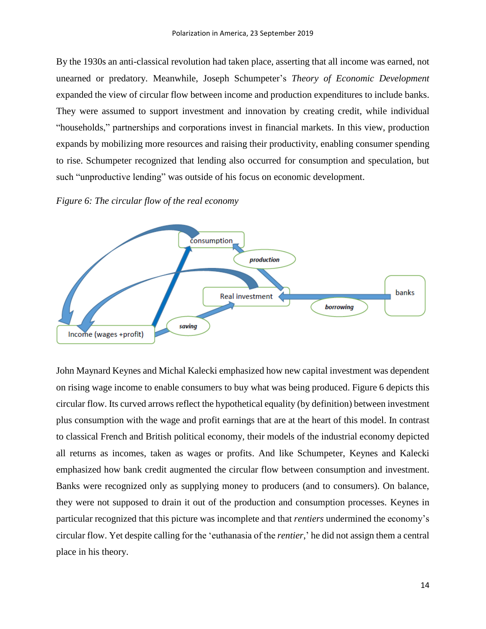By the 1930s an anti-classical revolution had taken place, asserting that all income was earned, not unearned or predatory. Meanwhile, Joseph Schumpeter's *Theory of Economic Development* expanded the view of circular flow between income and production expenditures to include banks. They were assumed to support investment and innovation by creating credit, while individual "households," partnerships and corporations invest in financial markets. In this view, production expands by mobilizing more resources and raising their productivity, enabling consumer spending to rise. Schumpeter recognized that lending also occurred for consumption and speculation, but such "unproductive lending" was outside of his focus on economic development.





John Maynard Keynes and Michal Kalecki emphasized how new capital investment was dependent on rising wage income to enable consumers to buy what was being produced. Figure 6 depicts this circular flow. Its curved arrows reflect the hypothetical equality (by definition) between investment plus consumption with the wage and profit earnings that are at the heart of this model. In contrast to classical French and British political economy, their models of the industrial economy depicted all returns as incomes, taken as wages or profits. And like Schumpeter, Keynes and Kalecki emphasized how bank credit augmented the circular flow between consumption and investment. Banks were recognized only as supplying money to producers (and to consumers). On balance, they were not supposed to drain it out of the production and consumption processes. Keynes in particular recognized that this picture was incomplete and that *rentiers* undermined the economy's circular flow. Yet despite calling for the 'euthanasia of the *rentier*,' he did not assign them a central place in his theory.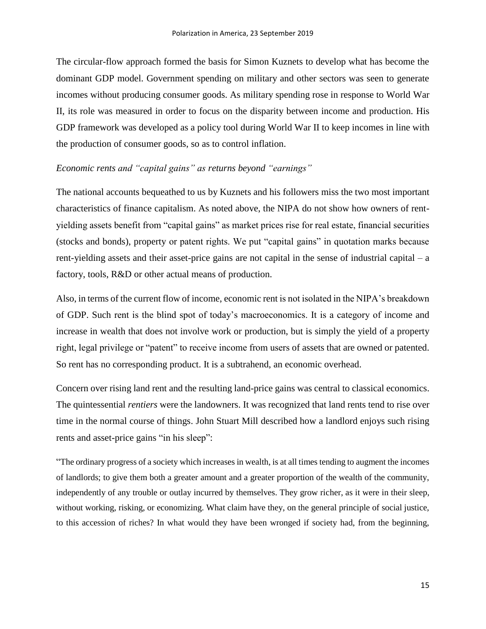The circular-flow approach formed the basis for Simon Kuznets to develop what has become the dominant GDP model. Government spending on military and other sectors was seen to generate incomes without producing consumer goods. As military spending rose in response to World War II, its role was measured in order to focus on the disparity between income and production. His GDP framework was developed as a policy tool during World War II to keep incomes in line with the production of consumer goods, so as to control inflation.

#### *Economic rents and "capital gains" as returns beyond "earnings"*

The national accounts bequeathed to us by Kuznets and his followers miss the two most important characteristics of finance capitalism. As noted above, the NIPA do not show how owners of rentyielding assets benefit from "capital gains" as market prices rise for real estate, financial securities (stocks and bonds), property or patent rights. We put "capital gains" in quotation marks because rent-yielding assets and their asset-price gains are not capital in the sense of industrial capital – a factory, tools, R&D or other actual means of production.

Also, in terms of the current flow of income, economic rent is not isolated in the NIPA's breakdown of GDP. Such rent is the blind spot of today's macroeconomics. It is a category of income and increase in wealth that does not involve work or production, but is simply the yield of a property right, legal privilege or "patent" to receive income from users of assets that are owned or patented. So rent has no corresponding product. It is a subtrahend, an economic overhead.

Concern over rising land rent and the resulting land-price gains was central to classical economics. The quintessential *rentiers* were the landowners. It was recognized that land rents tend to rise over time in the normal course of things. John Stuart Mill described how a landlord enjoys such rising rents and asset-price gains "in his sleep":

"The ordinary progress of a society which increases in wealth, is at all times tending to augment the incomes of landlords; to give them both a greater amount and a greater proportion of the wealth of the community, independently of any trouble or outlay incurred by themselves. They grow richer, as it were in their sleep, without working, risking, or economizing. What claim have they, on the general principle of social justice, to this accession of riches? In what would they have been wronged if society had, from the beginning,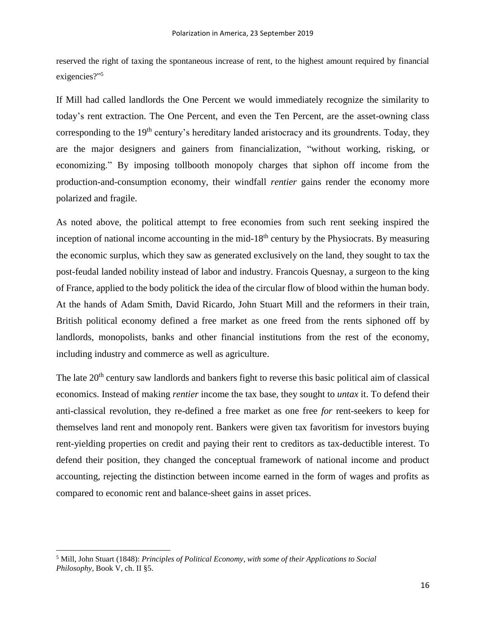reserved the right of taxing the spontaneous increase of rent, to the highest amount required by financial exigencies?" 5

If Mill had called landlords the One Percent we would immediately recognize the similarity to today's rent extraction. The One Percent, and even the Ten Percent, are the asset-owning class corresponding to the 19<sup>th</sup> century's hereditary landed aristocracy and its groundrents. Today, they are the major designers and gainers from financialization, "without working, risking, or economizing." By imposing tollbooth monopoly charges that siphon off income from the production-and-consumption economy, their windfall *rentier* gains render the economy more polarized and fragile.

As noted above, the political attempt to free economies from such rent seeking inspired the inception of national income accounting in the mid-18<sup>th</sup> century by the Physiocrats. By measuring the economic surplus, which they saw as generated exclusively on the land, they sought to tax the post-feudal landed nobility instead of labor and industry. Francois Quesnay, a surgeon to the king of France, applied to the body politick the idea of the circular flow of blood within the human body. At the hands of Adam Smith, David Ricardo, John Stuart Mill and the reformers in their train, British political economy defined a free market as one freed from the rents siphoned off by landlords, monopolists, banks and other financial institutions from the rest of the economy, including industry and commerce as well as agriculture.

The late 20<sup>th</sup> century saw landlords and bankers fight to reverse this basic political aim of classical economics. Instead of making *rentier* income the tax base, they sought to *untax* it. To defend their anti-classical revolution, they re-defined a free market as one free *for* rent-seekers to keep for themselves land rent and monopoly rent. Bankers were given tax favoritism for investors buying rent-yielding properties on credit and paying their rent to creditors as tax-deductible interest. To defend their position, they changed the conceptual framework of national income and product accounting, rejecting the distinction between income earned in the form of wages and profits as compared to economic rent and balance-sheet gains in asset prices.

 $\overline{a}$ 

<sup>5</sup> Mill, John Stuart (1848): *Principles of Political Economy, with some of their Applications to Social Philosophy*, Book V, ch. II §5.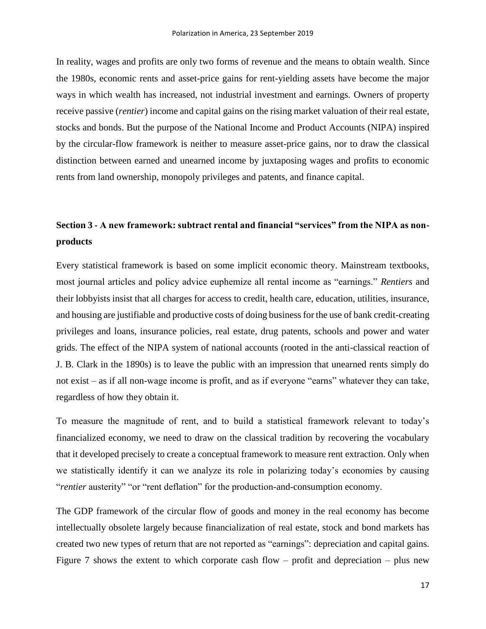In reality, wages and profits are only two forms of revenue and the means to obtain wealth. Since the 1980s, economic rents and asset-price gains for rent-yielding assets have become the major ways in which wealth has increased, not industrial investment and earnings. Owners of property receive passive (*rentier*) income and capital gains on the rising market valuation of their real estate, stocks and bonds. But the purpose of the National Income and Product Accounts (NIPA) inspired by the circular-flow framework is neither to measure asset-price gains, nor to draw the classical distinction between earned and unearned income by juxtaposing wages and profits to economic rents from land ownership, monopoly privileges and patents, and finance capital.

# **Section 3 - A new framework: subtract rental and financial "services" from the NIPA as nonproducts**

Every statistical framework is based on some implicit economic theory. Mainstream textbooks, most journal articles and policy advice euphemize all rental income as "earnings." *Rentiers* and their lobbyists insist that all charges for access to credit, health care, education, utilities, insurance, and housing are justifiable and productive costs of doing business for the use of bank credit-creating privileges and loans, insurance policies, real estate, drug patents, schools and power and water grids. The effect of the NIPA system of national accounts (rooted in the anti-classical reaction of J. B. Clark in the 1890s) is to leave the public with an impression that unearned rents simply do not exist – as if all non-wage income is profit, and as if everyone "earns" whatever they can take, regardless of how they obtain it.

To measure the magnitude of rent, and to build a statistical framework relevant to today's financialized economy, we need to draw on the classical tradition by recovering the vocabulary that it developed precisely to create a conceptual framework to measure rent extraction. Only when we statistically identify it can we analyze its role in polarizing today's economies by causing "*rentier* austerity" "or "rent deflation" for the production-and-consumption economy.

The GDP framework of the circular flow of goods and money in the real economy has become intellectually obsolete largely because financialization of real estate, stock and bond markets has created two new types of return that are not reported as "earnings": depreciation and capital gains. Figure 7 shows the extent to which corporate cash flow – profit and depreciation – plus new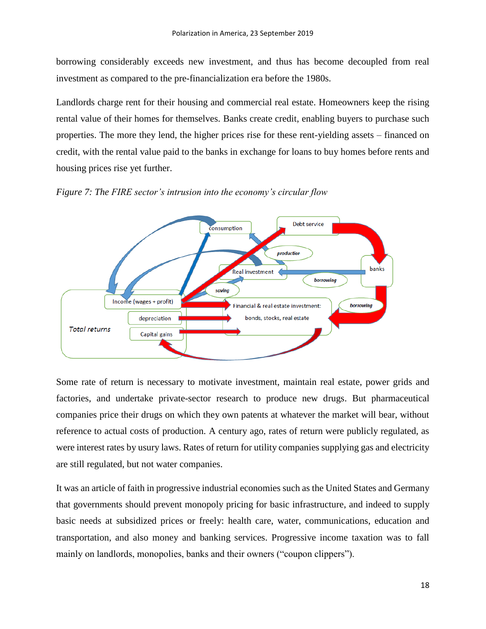borrowing considerably exceeds new investment, and thus has become decoupled from real investment as compared to the pre-financialization era before the 1980s.

Landlords charge rent for their housing and commercial real estate. Homeowners keep the rising rental value of their homes for themselves. Banks create credit, enabling buyers to purchase such properties. The more they lend, the higher prices rise for these rent-yielding assets – financed on credit, with the rental value paid to the banks in exchange for loans to buy homes before rents and housing prices rise yet further.





Some rate of return is necessary to motivate investment, maintain real estate, power grids and factories, and undertake private-sector research to produce new drugs. But pharmaceutical companies price their drugs on which they own patents at whatever the market will bear, without reference to actual costs of production. A century ago, rates of return were publicly regulated, as were interest rates by usury laws. Rates of return for utility companies supplying gas and electricity are still regulated, but not water companies.

It was an article of faith in progressive industrial economies such as the United States and Germany that governments should prevent monopoly pricing for basic infrastructure, and indeed to supply basic needs at subsidized prices or freely: health care, water, communications, education and transportation, and also money and banking services. Progressive income taxation was to fall mainly on landlords, monopolies, banks and their owners ("coupon clippers").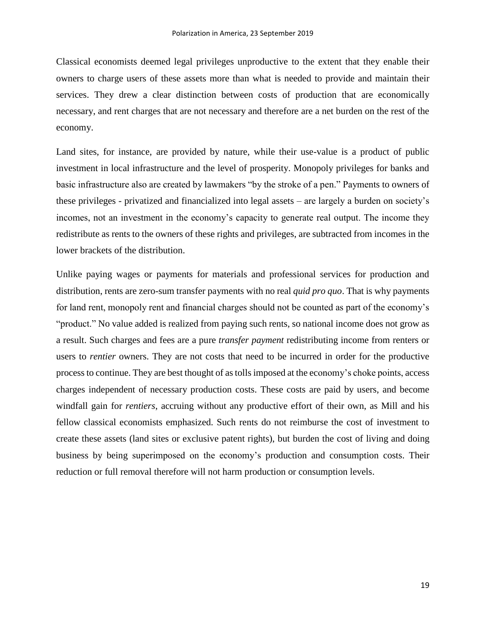Classical economists deemed legal privileges unproductive to the extent that they enable their owners to charge users of these assets more than what is needed to provide and maintain their services. They drew a clear distinction between costs of production that are economically necessary, and rent charges that are not necessary and therefore are a net burden on the rest of the economy.

Land sites, for instance, are provided by nature, while their use-value is a product of public investment in local infrastructure and the level of prosperity. Monopoly privileges for banks and basic infrastructure also are created by lawmakers "by the stroke of a pen." Payments to owners of these privileges - privatized and financialized into legal assets – are largely a burden on society's incomes, not an investment in the economy's capacity to generate real output. The income they redistribute as rents to the owners of these rights and privileges, are subtracted from incomes in the lower brackets of the distribution.

Unlike paying wages or payments for materials and professional services for production and distribution, rents are zero-sum transfer payments with no real *quid pro quo*. That is why payments for land rent, monopoly rent and financial charges should not be counted as part of the economy's "product." No value added is realized from paying such rents, so national income does not grow as a result. Such charges and fees are a pure *transfer payment* redistributing income from renters or users to *rentier* owners. They are not costs that need to be incurred in order for the productive process to continue. They are best thought of as tolls imposed at the economy's choke points, access charges independent of necessary production costs. These costs are paid by users, and become windfall gain for *rentiers*, accruing without any productive effort of their own, as Mill and his fellow classical economists emphasized. Such rents do not reimburse the cost of investment to create these assets (land sites or exclusive patent rights), but burden the cost of living and doing business by being superimposed on the economy's production and consumption costs. Their reduction or full removal therefore will not harm production or consumption levels.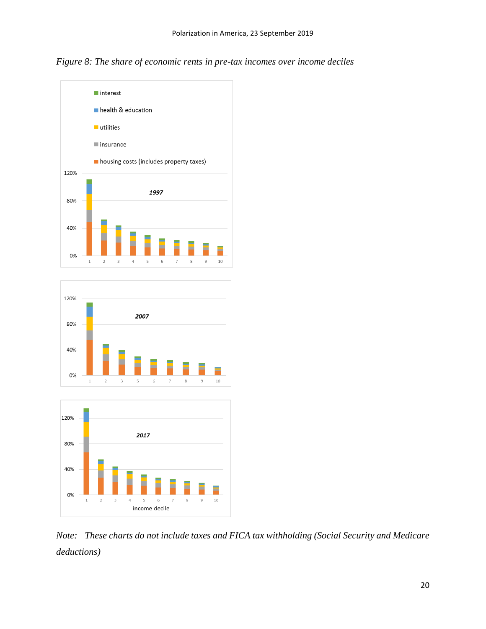*Figure 8: The share of economic rents in pre-tax incomes over income deciles*







*Note: These charts do not include taxes and FICA tax withholding (Social Security and Medicare deductions)*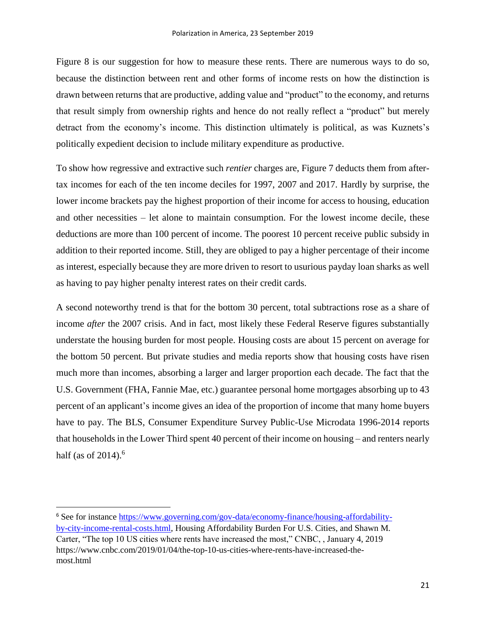Figure 8 is our suggestion for how to measure these rents. There are numerous ways to do so, because the distinction between rent and other forms of income rests on how the distinction is drawn between returns that are productive, adding value and "product" to the economy, and returns that result simply from ownership rights and hence do not really reflect a "product" but merely detract from the economy's income. This distinction ultimately is political, as was Kuznets's politically expedient decision to include military expenditure as productive.

To show how regressive and extractive such *rentier* charges are, Figure 7 deducts them from aftertax incomes for each of the ten income deciles for 1997, 2007 and 2017. Hardly by surprise, the lower income brackets pay the highest proportion of their income for access to housing, education and other necessities – let alone to maintain consumption. For the lowest income decile, these deductions are more than 100 percent of income. The poorest 10 percent receive public subsidy in addition to their reported income. Still, they are obliged to pay a higher percentage of their income as interest, especially because they are more driven to resort to usurious payday loan sharks as well as having to pay higher penalty interest rates on their credit cards.

A second noteworthy trend is that for the bottom 30 percent, total subtractions rose as a share of income *after* the 2007 crisis. And in fact, most likely these Federal Reserve figures substantially understate the housing burden for most people. Housing costs are about 15 percent on average for the bottom 50 percent. But private studies and media reports show that housing costs have risen much more than incomes, absorbing a larger and larger proportion each decade. The fact that the U.S. Government (FHA, Fannie Mae, etc.) guarantee personal home mortgages absorbing up to 43 percent of an applicant's income gives an idea of the proportion of income that many home buyers have to pay. The BLS, Consumer Expenditure Survey Public-Use Microdata 1996-2014 reports that households in the Lower Third spent 40 percent of their income on housing – and renters nearly half (as of 2014).<sup>6</sup>

 $\ddot{\phantom{a}}$ 

<sup>6</sup> See for instance [https://www.governing.com/gov-data/economy-finance/housing-affordability](https://www.governing.com/gov-data/economy-finance/housing-affordability-by-city-income-rental-costs.html)[by-city-income-rental-costs.html,](https://www.governing.com/gov-data/economy-finance/housing-affordability-by-city-income-rental-costs.html) Housing Affordability Burden For U.S. Cities, and Shawn M. Carter, "The top 10 US cities where rents have increased the most," CNBC, , January 4, 2019 https://www.cnbc.com/2019/01/04/the-top-10-us-cities-where-rents-have-increased-themost.html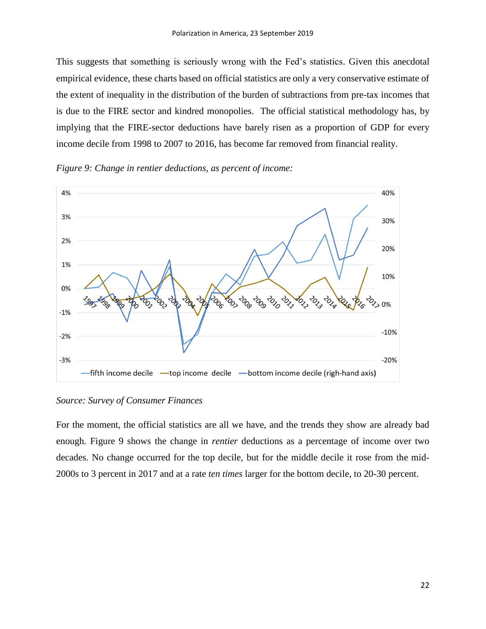This suggests that something is seriously wrong with the Fed's statistics. Given this anecdotal empirical evidence, these charts based on official statistics are only a very conservative estimate of the extent of inequality in the distribution of the burden of subtractions from pre-tax incomes that is due to the FIRE sector and kindred monopolies. The official statistical methodology has, by implying that the FIRE-sector deductions have barely risen as a proportion of GDP for every income decile from 1998 to 2007 to 2016, has become far removed from financial reality.



*Figure 9: Change in rentier deductions, as percent of income:* 

*Source: Survey of Consumer Finances*

For the moment, the official statistics are all we have, and the trends they show are already bad enough. Figure 9 shows the change in *rentier* deductions as a percentage of income over two decades. No change occurred for the top decile, but for the middle decile it rose from the mid-2000s to 3 percent in 2017 and at a rate *ten times* larger for the bottom decile, to 20-30 percent.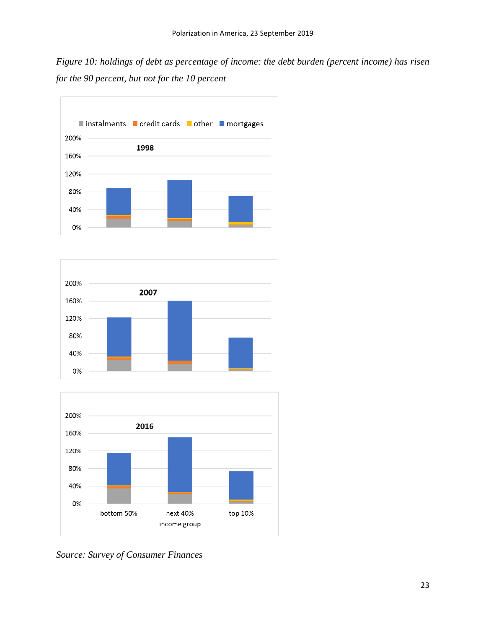*Figure 10: holdings of debt as percentage of income: the debt burden (percent income) has risen for the 90 percent, but not for the 10 percent*







*Source: Survey of Consumer Finances*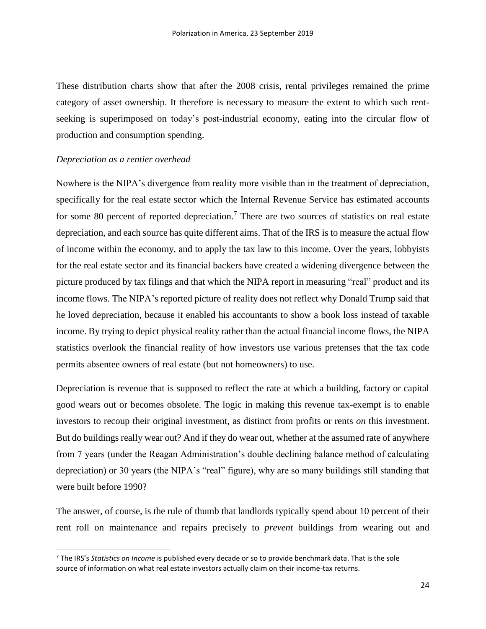These distribution charts show that after the 2008 crisis, rental privileges remained the prime category of asset ownership. It therefore is necessary to measure the extent to which such rentseeking is superimposed on today's post-industrial economy, eating into the circular flow of production and consumption spending.

#### *Depreciation as a rentier overhead*

 $\overline{a}$ 

Nowhere is the NIPA's divergence from reality more visible than in the treatment of depreciation, specifically for the real estate sector which the Internal Revenue Service has estimated accounts for some 80 percent of reported depreciation.<sup>7</sup> There are two sources of statistics on real estate depreciation, and each source has quite different aims. That of the IRS is to measure the actual flow of income within the economy, and to apply the tax law to this income. Over the years, lobbyists for the real estate sector and its financial backers have created a widening divergence between the picture produced by tax filings and that which the NIPA report in measuring "real" product and its income flows. The NIPA's reported picture of reality does not reflect why Donald Trump said that he loved depreciation, because it enabled his accountants to show a book loss instead of taxable income. By trying to depict physical reality rather than the actual financial income flows, the NIPA statistics overlook the financial reality of how investors use various pretenses that the tax code permits absentee owners of real estate (but not homeowners) to use.

Depreciation is revenue that is supposed to reflect the rate at which a building, factory or capital good wears out or becomes obsolete. The logic in making this revenue tax-exempt is to enable investors to recoup their original investment, as distinct from profits or rents *on* this investment. But do buildings really wear out? And if they do wear out, whether at the assumed rate of anywhere from 7 years (under the Reagan Administration's double declining balance method of calculating depreciation) or 30 years (the NIPA's "real" figure), why are so many buildings still standing that were built before 1990?

The answer, of course, is the rule of thumb that landlords typically spend about 10 percent of their rent roll on maintenance and repairs precisely to *prevent* buildings from wearing out and

<sup>7</sup> The IRS's *Statistics on Income* is published every decade or so to provide benchmark data. That is the sole source of information on what real estate investors actually claim on their income-tax returns.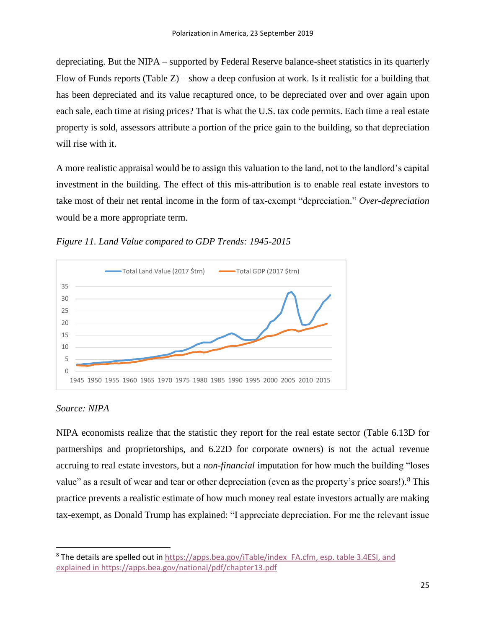depreciating. But the NIPA – supported by Federal Reserve balance-sheet statistics in its quarterly Flow of Funds reports (Table Z) – show a deep confusion at work. Is it realistic for a building that has been depreciated and its value recaptured once, to be depreciated over and over again upon each sale, each time at rising prices? That is what the U.S. tax code permits. Each time a real estate property is sold, assessors attribute a portion of the price gain to the building, so that depreciation will rise with it.

A more realistic appraisal would be to assign this valuation to the land, not to the landlord's capital investment in the building. The effect of this mis-attribution is to enable real estate investors to take most of their net rental income in the form of tax-exempt "depreciation." *Over-depreciation* would be a more appropriate term.



*Figure 11. Land Value compared to GDP Trends: 1945-2015*

## *Source: NIPA*

 $\ddot{\phantom{a}}$ 

NIPA economists realize that the statistic they report for the real estate sector (Table 6.13D for partnerships and proprietorships, and 6.22D for corporate owners) is not the actual revenue accruing to real estate investors, but a *non-financial* imputation for how much the building "loses value" as a result of wear and tear or other depreciation (even as the property's price soars!).<sup>8</sup> This practice prevents a realistic estimate of how much money real estate investors actually are making tax-exempt, as Donald Trump has explained: "I appreciate depreciation. For me the relevant issue

<sup>&</sup>lt;sup>8</sup> The details are spelled out in https://apps.bea.gov/iTable/index FA.cfm, esp. table 3.4ESI, and explained i[n https://apps.bea.gov/national/pdf/chapter13.pdf](https://apps.bea.gov/national/pdf/chapter13.pdf)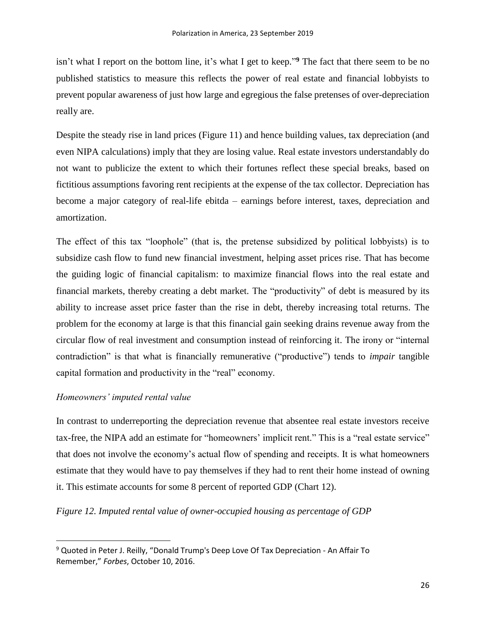isn't what I report on the bottom line, it's what I get to keep." **<sup>9</sup>** The fact that there seem to be no published statistics to measure this reflects the power of real estate and financial lobbyists to prevent popular awareness of just how large and egregious the false pretenses of over-depreciation really are.

Despite the steady rise in land prices (Figure 11) and hence building values, tax depreciation (and even NIPA calculations) imply that they are losing value. Real estate investors understandably do not want to publicize the extent to which their fortunes reflect these special breaks, based on fictitious assumptions favoring rent recipients at the expense of the tax collector. Depreciation has become a major category of real-life ebitda – earnings before interest, taxes, depreciation and amortization.

The effect of this tax "loophole" (that is, the pretense subsidized by political lobbyists) is to subsidize cash flow to fund new financial investment, helping asset prices rise. That has become the guiding logic of financial capitalism: to maximize financial flows into the real estate and financial markets, thereby creating a debt market. The "productivity" of debt is measured by its ability to increase asset price faster than the rise in debt, thereby increasing total returns. The problem for the economy at large is that this financial gain seeking drains revenue away from the circular flow of real investment and consumption instead of reinforcing it. The irony or "internal contradiction" is that what is financially remunerative ("productive") tends to *impair* tangible capital formation and productivity in the "real" economy.

## *Homeowners' imputed rental value*

 $\overline{a}$ 

In contrast to underreporting the depreciation revenue that absentee real estate investors receive tax-free, the NIPA add an estimate for "homeowners' implicit rent." This is a "real estate service" that does not involve the economy's actual flow of spending and receipts. It is what homeowners estimate that they would have to pay themselves if they had to rent their home instead of owning it. This estimate accounts for some 8 percent of reported GDP (Chart 12).

*Figure 12. Imputed rental value of owner-occupied housing as percentage of GDP*

<sup>&</sup>lt;sup>9</sup> Quoted in Peter J. Reilly, "Donald Trump's Deep Love Of Tax Depreciation - An Affair To Remember," *Forbes*, October 10, 2016.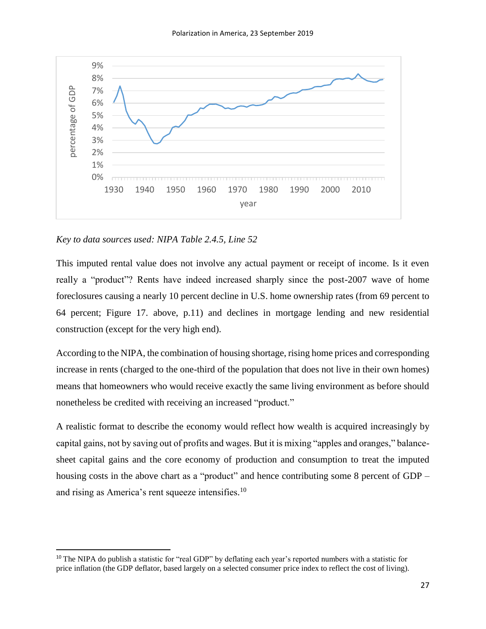

*Key to data sources used: NIPA Table 2.4.5, Line 52*

 $\overline{a}$ 

This imputed rental value does not involve any actual payment or receipt of income. Is it even really a "product"? Rents have indeed increased sharply since the post-2007 wave of home foreclosures causing a nearly 10 percent decline in U.S. home ownership rates (from 69 percent to 64 percent; Figure 17. above, p.11) and declines in mortgage lending and new residential construction (except for the very high end).

According to the NIPA, the combination of housing shortage, rising home prices and corresponding increase in rents (charged to the one-third of the population that does not live in their own homes) means that homeowners who would receive exactly the same living environment as before should nonetheless be credited with receiving an increased "product."

A realistic format to describe the economy would reflect how wealth is acquired increasingly by capital gains, not by saving out of profits and wages. But it is mixing "apples and oranges," balancesheet capital gains and the core economy of production and consumption to treat the imputed housing costs in the above chart as a "product" and hence contributing some 8 percent of GDP – and rising as America's rent squeeze intensifies.<sup>10</sup>

<sup>&</sup>lt;sup>10</sup> The NIPA do publish a statistic for "real GDP" by deflating each year's reported numbers with a statistic for price inflation (the GDP deflator, based largely on a selected consumer price index to reflect the cost of living).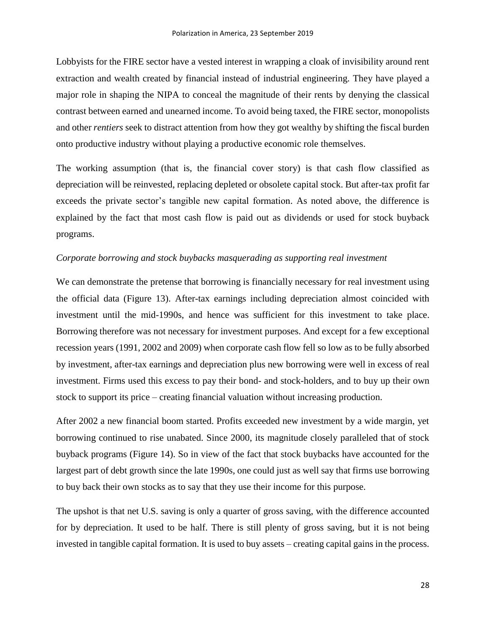Lobbyists for the FIRE sector have a vested interest in wrapping a cloak of invisibility around rent extraction and wealth created by financial instead of industrial engineering. They have played a major role in shaping the NIPA to conceal the magnitude of their rents by denying the classical contrast between earned and unearned income. To avoid being taxed, the FIRE sector, monopolists and other *rentiers* seek to distract attention from how they got wealthy by shifting the fiscal burden onto productive industry without playing a productive economic role themselves.

The working assumption (that is, the financial cover story) is that cash flow classified as depreciation will be reinvested, replacing depleted or obsolete capital stock. But after-tax profit far exceeds the private sector's tangible new capital formation. As noted above, the difference is explained by the fact that most cash flow is paid out as dividends or used for stock buyback programs.

#### *Corporate borrowing and stock buybacks masquerading as supporting real investment*

We can demonstrate the pretense that borrowing is financially necessary for real investment using the official data (Figure 13). After-tax earnings including depreciation almost coincided with investment until the mid-1990s, and hence was sufficient for this investment to take place. Borrowing therefore was not necessary for investment purposes. And except for a few exceptional recession years (1991, 2002 and 2009) when corporate cash flow fell so low as to be fully absorbed by investment, after-tax earnings and depreciation plus new borrowing were well in excess of real investment. Firms used this excess to pay their bond- and stock-holders, and to buy up their own stock to support its price – creating financial valuation without increasing production.

After 2002 a new financial boom started. Profits exceeded new investment by a wide margin, yet borrowing continued to rise unabated. Since 2000, its magnitude closely paralleled that of stock buyback programs (Figure 14). So in view of the fact that stock buybacks have accounted for the largest part of debt growth since the late 1990s, one could just as well say that firms use borrowing to buy back their own stocks as to say that they use their income for this purpose.

The upshot is that net U.S. saving is only a quarter of gross saving, with the difference accounted for by depreciation. It used to be half. There is still plenty of gross saving, but it is not being invested in tangible capital formation. It is used to buy assets – creating capital gains in the process.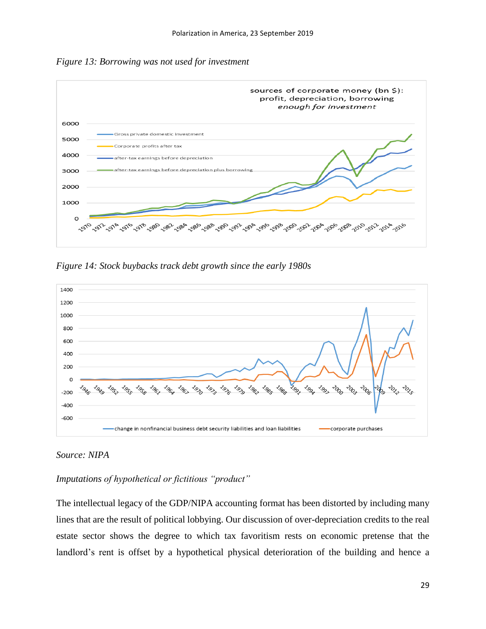



*Figure 14: Stock buybacks track debt growth since the early 1980s*



## *Source: NIPA*

## *Imputations of hypothetical or fictitious "product"*

The intellectual legacy of the GDP/NIPA accounting format has been distorted by including many lines that are the result of political lobbying. Our discussion of over-depreciation credits to the real estate sector shows the degree to which tax favoritism rests on economic pretense that the landlord's rent is offset by a hypothetical physical deterioration of the building and hence a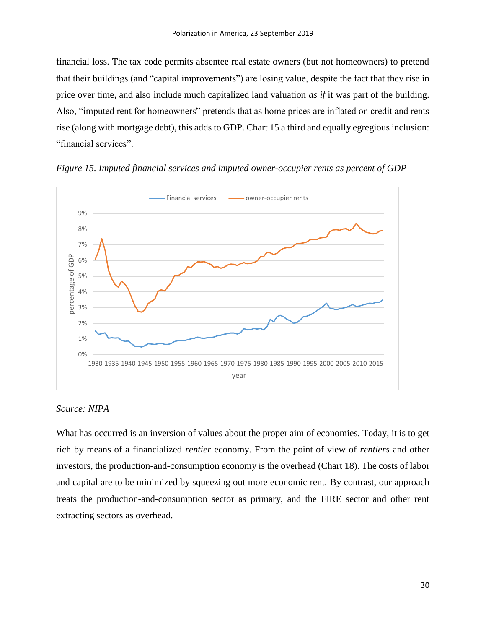financial loss. The tax code permits absentee real estate owners (but not homeowners) to pretend that their buildings (and "capital improvements") are losing value, despite the fact that they rise in price over time, and also include much capitalized land valuation *as if* it was part of the building. Also, "imputed rent for homeowners" pretends that as home prices are inflated on credit and rents rise (along with mortgage debt), this adds to GDP. Chart 15 a third and equally egregious inclusion: "financial services".





## *Source: NIPA*

What has occurred is an inversion of values about the proper aim of economies. Today, it is to get rich by means of a financialized *rentier* economy. From the point of view of *rentiers* and other investors, the production-and-consumption economy is the overhead (Chart 18). The costs of labor and capital are to be minimized by squeezing out more economic rent. By contrast, our approach treats the production-and-consumption sector as primary, and the FIRE sector and other rent extracting sectors as overhead.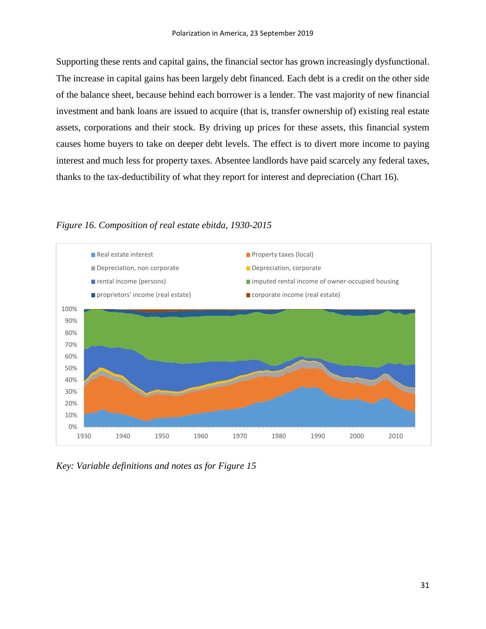Supporting these rents and capital gains, the financial sector has grown increasingly dysfunctional. The increase in capital gains has been largely debt financed. Each debt is a credit on the other side of the balance sheet, because behind each borrower is a lender. The vast majority of new financial investment and bank loans are issued to acquire (that is, transfer ownership of) existing real estate assets, corporations and their stock. By driving up prices for these assets, this financial system causes home buyers to take on deeper debt levels. The effect is to divert more income to paying interest and much less for property taxes. Absentee landlords have paid scarcely any federal taxes, thanks to the tax-deductibility of what they report for interest and depreciation (Chart 16).

*Figure 16. Composition of real estate ebitda, 1930-2015*



*Key: Variable definitions and notes as for Figure 15*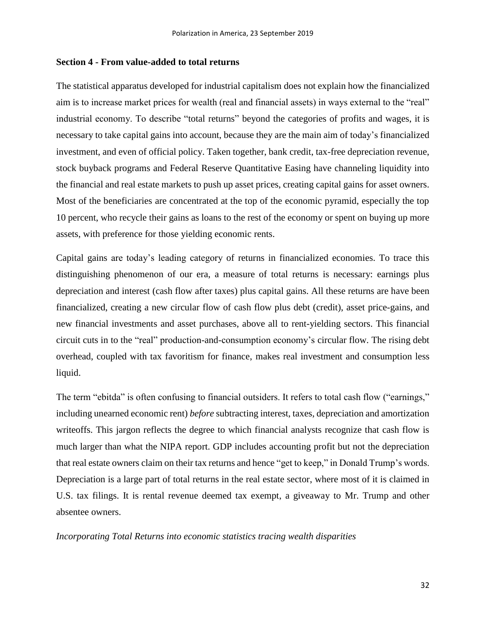#### **Section 4 - From value-added to total returns**

The statistical apparatus developed for industrial capitalism does not explain how the financialized aim is to increase market prices for wealth (real and financial assets) in ways external to the "real" industrial economy. To describe "total returns" beyond the categories of profits and wages, it is necessary to take capital gains into account, because they are the main aim of today's financialized investment, and even of official policy. Taken together, bank credit, tax-free depreciation revenue, stock buyback programs and Federal Reserve Quantitative Easing have channeling liquidity into the financial and real estate markets to push up asset prices, creating capital gains for asset owners. Most of the beneficiaries are concentrated at the top of the economic pyramid, especially the top 10 percent, who recycle their gains as loans to the rest of the economy or spent on buying up more assets, with preference for those yielding economic rents.

Capital gains are today's leading category of returns in financialized economies. To trace this distinguishing phenomenon of our era, a measure of total returns is necessary: earnings plus depreciation and interest (cash flow after taxes) plus capital gains. All these returns are have been financialized, creating a new circular flow of cash flow plus debt (credit), asset price-gains, and new financial investments and asset purchases, above all to rent-yielding sectors. This financial circuit cuts in to the "real" production-and-consumption economy's circular flow. The rising debt overhead, coupled with tax favoritism for finance, makes real investment and consumption less liquid.

The term "ebitda" is often confusing to financial outsiders. It refers to total cash flow ("earnings," including unearned economic rent) *before* subtracting interest, taxes, depreciation and amortization writeoffs. This jargon reflects the degree to which financial analysts recognize that cash flow is much larger than what the NIPA report. GDP includes accounting profit but not the depreciation that real estate owners claim on their tax returns and hence "get to keep," in Donald Trump's words. Depreciation is a large part of total returns in the real estate sector, where most of it is claimed in U.S. tax filings. It is rental revenue deemed tax exempt, a giveaway to Mr. Trump and other absentee owners.

*Incorporating Total Returns into economic statistics tracing wealth disparities*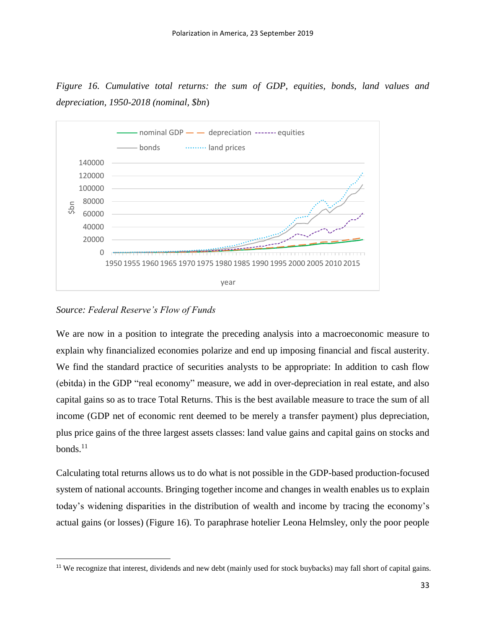*Figure 16. Cumulative total returns: the sum of GDP, equities, bonds, land values and depreciation, 1950-2018 (nominal, \$bn*)



*Source: Federal Reserve's Flow of Funds*

 $\ddot{\phantom{a}}$ 

We are now in a position to integrate the preceding analysis into a macroeconomic measure to explain why financialized economies polarize and end up imposing financial and fiscal austerity. We find the standard practice of securities analysts to be appropriate: In addition to cash flow (ebitda) in the GDP "real economy" measure, we add in over-depreciation in real estate, and also capital gains so as to trace Total Returns. This is the best available measure to trace the sum of all income (GDP net of economic rent deemed to be merely a transfer payment) plus depreciation, plus price gains of the three largest assets classes: land value gains and capital gains on stocks and bonds. $^{11}$ 

Calculating total returns allows us to do what is not possible in the GDP-based production-focused system of national accounts. Bringing together income and changes in wealth enables us to explain today's widening disparities in the distribution of wealth and income by tracing the economy's actual gains (or losses) (Figure 16). To paraphrase hotelier Leona Helmsley, only the poor people

<sup>&</sup>lt;sup>11</sup> We recognize that interest, dividends and new debt (mainly used for stock buybacks) may fall short of capital gains.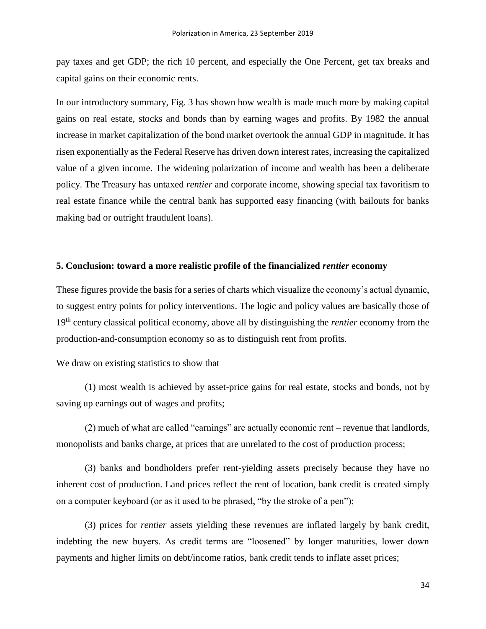pay taxes and get GDP; the rich 10 percent, and especially the One Percent, get tax breaks and capital gains on their economic rents.

In our introductory summary, Fig. 3 has shown how wealth is made much more by making capital gains on real estate, stocks and bonds than by earning wages and profits. By 1982 the annual increase in market capitalization of the bond market overtook the annual GDP in magnitude. It has risen exponentially as the Federal Reserve has driven down interest rates, increasing the capitalized value of a given income. The widening polarization of income and wealth has been a deliberate policy. The Treasury has untaxed *rentier* and corporate income, showing special tax favoritism to real estate finance while the central bank has supported easy financing (with bailouts for banks making bad or outright fraudulent loans).

#### **5. Conclusion: toward a more realistic profile of the financialized** *rentier* **economy**

These figures provide the basis for a series of charts which visualize the economy's actual dynamic, to suggest entry points for policy interventions. The logic and policy values are basically those of 19th century classical political economy, above all by distinguishing the *rentier* economy from the production-and-consumption economy so as to distinguish rent from profits.

#### We draw on existing statistics to show that

(1) most wealth is achieved by asset-price gains for real estate, stocks and bonds, not by saving up earnings out of wages and profits;

(2) much of what are called "earnings" are actually economic rent – revenue that landlords, monopolists and banks charge, at prices that are unrelated to the cost of production process;

(3) banks and bondholders prefer rent-yielding assets precisely because they have no inherent cost of production. Land prices reflect the rent of location, bank credit is created simply on a computer keyboard (or as it used to be phrased, "by the stroke of a pen");

(3) prices for *rentier* assets yielding these revenues are inflated largely by bank credit, indebting the new buyers. As credit terms are "loosened" by longer maturities, lower down payments and higher limits on debt/income ratios, bank credit tends to inflate asset prices;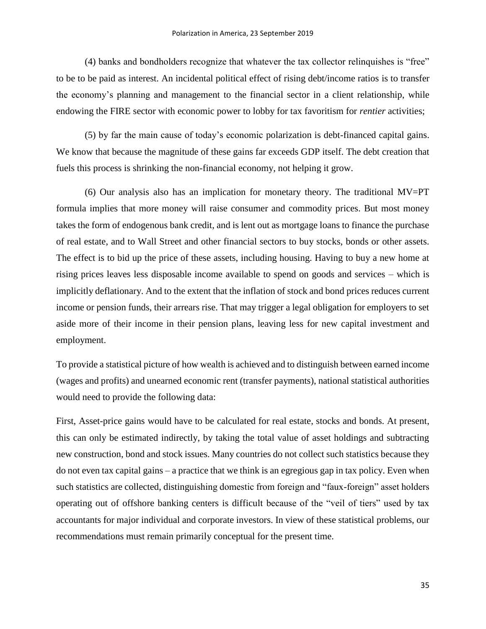(4) banks and bondholders recognize that whatever the tax collector relinquishes is "free" to be to be paid as interest. An incidental political effect of rising debt/income ratios is to transfer the economy's planning and management to the financial sector in a client relationship, while endowing the FIRE sector with economic power to lobby for tax favoritism for *rentier* activities;

(5) by far the main cause of today's economic polarization is debt-financed capital gains. We know that because the magnitude of these gains far exceeds GDP itself. The debt creation that fuels this process is shrinking the non-financial economy, not helping it grow.

(6) Our analysis also has an implication for monetary theory. The traditional MV=PT formula implies that more money will raise consumer and commodity prices. But most money takes the form of endogenous bank credit, and is lent out as mortgage loans to finance the purchase of real estate, and to Wall Street and other financial sectors to buy stocks, bonds or other assets. The effect is to bid up the price of these assets, including housing. Having to buy a new home at rising prices leaves less disposable income available to spend on goods and services – which is implicitly deflationary. And to the extent that the inflation of stock and bond prices reduces current income or pension funds, their arrears rise. That may trigger a legal obligation for employers to set aside more of their income in their pension plans, leaving less for new capital investment and employment.

To provide a statistical picture of how wealth is achieved and to distinguish between earned income (wages and profits) and unearned economic rent (transfer payments), national statistical authorities would need to provide the following data:

First, Asset-price gains would have to be calculated for real estate, stocks and bonds. At present, this can only be estimated indirectly, by taking the total value of asset holdings and subtracting new construction, bond and stock issues. Many countries do not collect such statistics because they do not even tax capital gains – a practice that we think is an egregious gap in tax policy. Even when such statistics are collected, distinguishing domestic from foreign and "faux-foreign" asset holders operating out of offshore banking centers is difficult because of the "veil of tiers" used by tax accountants for major individual and corporate investors. In view of these statistical problems, our recommendations must remain primarily conceptual for the present time.